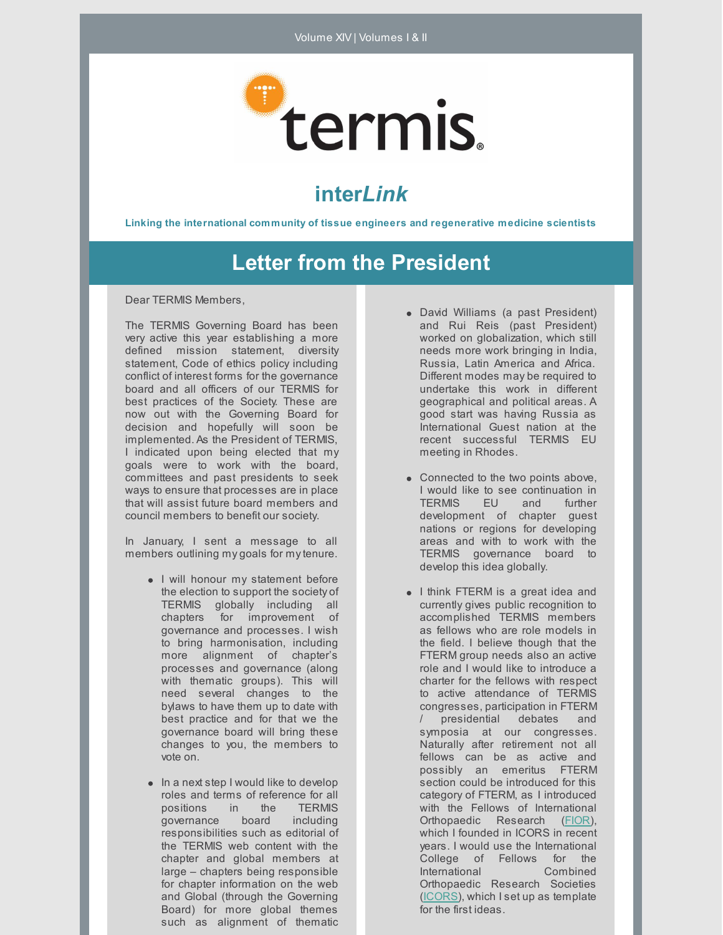

# **inter***Link*

**Linking the international community of tissue engineers and regenerative medicine scientists**

## **Letter from the President**

Dear TERMIS Members,

The TERMIS Governing Board has been very active this year establishing a more defined mission statement, diversity statement, Code of ethics policy including conflict of interest forms for the governance board and all officers of our TERMIS for best practices of the Society. These are now out with the Governing Board for decision and hopefully will soon be implemented. As the President of TERMIS, I indicated upon being elected that my goals were to work with the board, committees and past presidents to seek ways to ensure that processes are in place that will assist future board members and council members to benefit our society.

In January, I sent a message to all members outlining my goals for mytenure.

- I will honour my statement before the election to support the society of TERMIS globally including all chapters for improvement of governance and processes. I wish to bring harmonisation, including more alignment of chapter's processes and governance (along with thematic groups). This will need several changes to the bylaws to have them up to date with best practice and for that we the governance board will bring these changes to you, the members to vote on.
- $\bullet$  In a next step I would like to develop roles and terms of reference for all positions in the TERMIS governance board including responsibilities such as editorial of the TERMIS web content with the chapter and global members at large – chapters being responsible for chapter information on the web and Global (through the Governing Board) for more global themes such as alignment of thematic
- David Williams (a past President) and Rui Reis (past President) worked on globalization, which still needs more work bringing in India, Russia, Latin America and Africa. Different modes may be required to undertake this work in different geographical and political areas. A good start was having Russia as International Guest nation at the recent successful TERMIS EU meeting in Rhodes.
- Connected to the two points above, I would like to see continuation in TERMIS EU and further development of chapter guest nations or regions for developing areas and with to work with the TERMIS governance board to develop this idea globally.
- I think FTERM is a great idea and currently gives public recognition to accomplished TERMIS members as fellows who are role models in the field. I believe though that the FTERM group needs also an active role and I would like to introduce a charter for the fellows with respect to active attendance of TERMIS congresses, participation in FTERM / presidential debates and symposia at our congresses. Naturally after retirement not all fellows can be as active and possibly an emeritus FTERM section could be introduced for this category of FTERM, as I introduced with the Fellows of International Orthopaedic Research [\(FIOR](http://i-cors.org/fior/)), which I founded in ICORS in recent years. I would use the International College of Fellows for the International Combined Orthopaedic Research Societies [\(ICORS](http://i-cors.org/)), which I set up as template for the first ideas.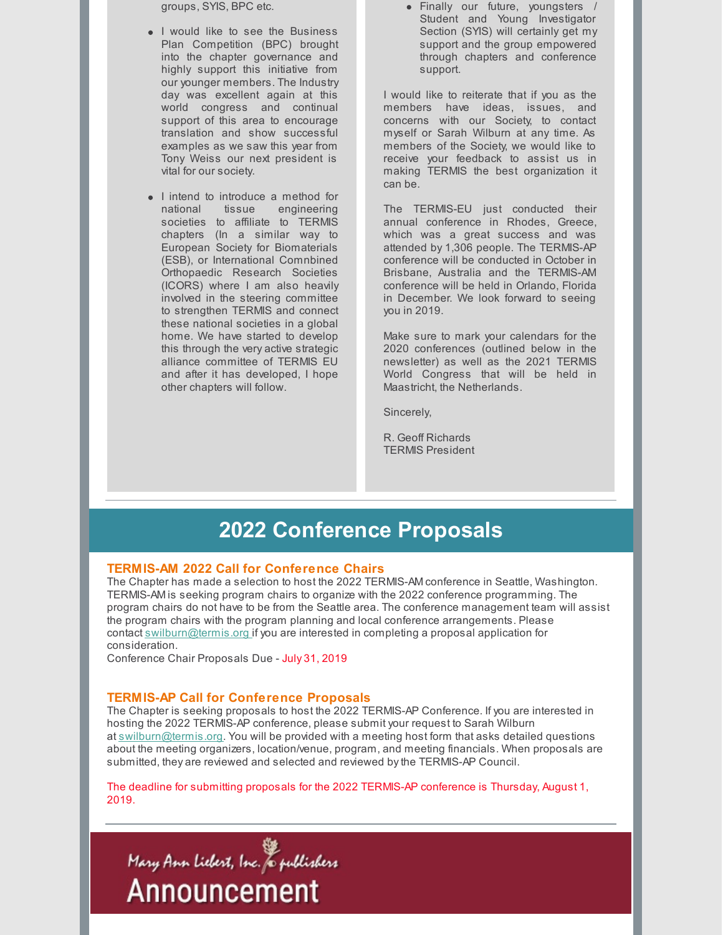groups, SYIS, BPC etc.

- I would like to see the Business Plan Competition (BPC) brought into the chapter governance and highly support this initiative from our younger members. The Industry day was excellent again at this world congress and continual support of this area to encourage translation and show successful examples as we saw this year from Tony Weiss our next president is vital for our society.
- I intend to introduce a method for national tissue engineering societies to affiliate to TERMIS chapters (In a similar way to European Society for Biomaterials (ESB), or International Comnbined Orthopaedic Research Societies (ICORS) where I am also heavily involved in the steering committee to strengthen TERMIS and connect these national societies in a global home. We have started to develop this through the very active strategic alliance committee of TERMIS EU and after it has developed, I hope other chapters will follow.

Finally our future, youngsters / Student and Young Investigator Section (SYIS) will certainly get my support and the group empowered through chapters and conference support.

I would like to reiterate that if you as the members have ideas, issues, and concerns with our Society, to contact myself or Sarah Wilburn at any time. As members of the Society, we would like to receive your feedback to assist us in making TERMIS the best organization it can be.

The TERMIS-EU just conducted their annual conference in Rhodes, Greece, which was a great success and was attended by 1,306 people. The TERMIS-AP conference will be conducted in October in Brisbane, Australia and the TERMIS-AM conference will be held in Orlando, Florida in December. We look forward to seeing you in 2019.

Make sure to mark your calendars for the 2020 conferences (outlined below in the newsletter) as well as the 2021 TERMIS World Congress that will be held in Maastricht, the Netherlands.

Sincerely,

R. Geoff Richards TERMIS President

### **2022 Conference Proposals**

#### **TERMIS-AM 2022 Call for Conference Chairs**

The Chapter has made a selection to host the 2022 TERMIS-AM conference in Seattle, Washington. TERMIS-AM is seeking program chairs to organize with the 2022 conference programming. The program chairs do not have to be from the Seattle area. The conference management team will assist the program chairs with the program planning and local conference arrangements. Please contact [swilburn@termis.org](mailto:swilburn@termis.org) if you are interested in completing a proposal application for consideration.

Conference Chair Proposals Due - July 31, 2019

#### **TERMIS-AP Call for Conference Proposals**

The Chapter is seeking proposals to host the 2022 TERMIS-AP Conference. If you are interested in hosting the 2022 TERMIS-AP conference, please submit your request to Sarah Wilburn at [swilburn@termis.org](mailto:swilburn@termis.org). You will be provided with a meeting host form that asks detailed questions about the meeting organizers, location/venue, program, and meeting financials. When proposals are submitted, they are reviewed and selected and reviewed bythe TERMIS-AP Council.

The deadline for submitting proposals for the 2022 TERMIS-AP conference is Thursday, August 1, 2019.

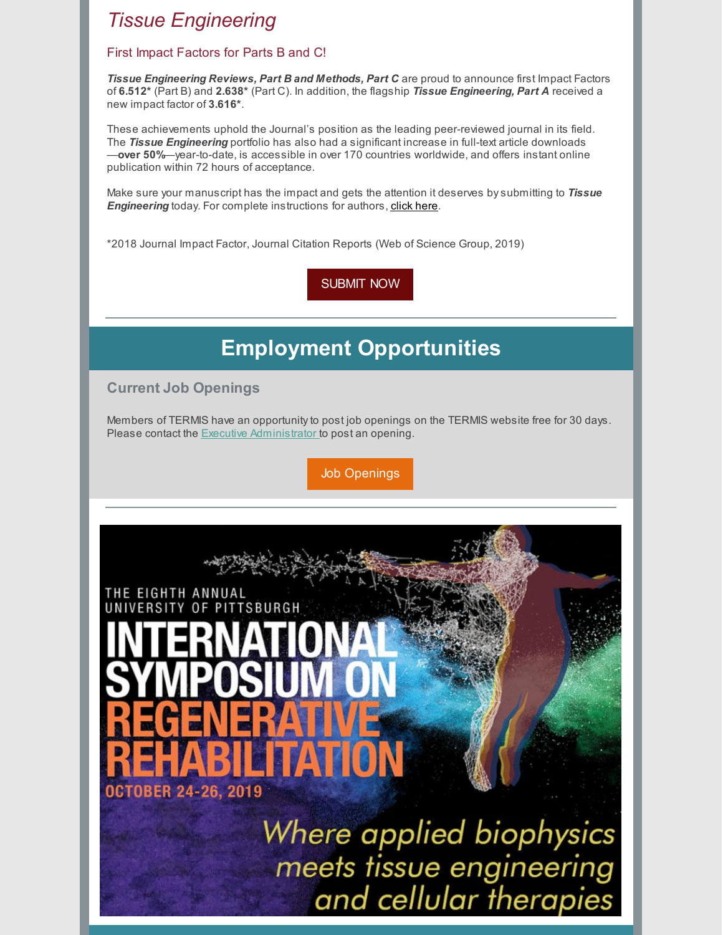### *Tissue [Engineering](http://click.liebertpubmail.com/?qs=628b4a5c66048566b42173410b8fa513973eb1a9778f711b13188df893cb09d38ba6d53b1085a096b42a5cfda971848e)*

#### First Impact Factors for Parts B and C!

*Tissue Engineering Reviews, Part B and Methods, Part C* are proud to announce first Impact Factors of **6.512\*** (Part B) and **2.638\*** (Part C). In addition, the flagship *Tissue Engineering, Part A* received a new impact factor of **3.616\***.

These achievements uphold the Journal's position as the leading peer-reviewed journal in its field. The *Tissue Engineering* portfolio has also had a significant increase in full-text article downloads —**over 50%**—year-to-date, is accessible in over 170 countries worldwide, and offers instant online publication within 72 hours of acceptance.

Make sure your manuscript has the impact and gets the attention it deserves bysubmitting to *Tissue Engineering* today. For complete instructions for authors, [click](https://home.liebertpub.com/publications/tissue-engineering-parts-a-b-and-c/595/for-authors) here.

\*2018 Journal Impact Factor, Journal Citation Reports (Web of Science Group, 2019)

[SUBMIT](https://home.liebertpub.com/publications/tissue-engineering-parts-a-b-and-c/595/for-authors) NOW

# **Employment Opportunities**

**Current Job Openings**

Members of TERMIS have an opportunityto post job openings on the TERMIS website free for 30 days. Please contact the Executive [Administrator](mailto:swilburn@termis.org) to post an opening.

Job [Openings](https://www.termis.org/employment-opportunities)

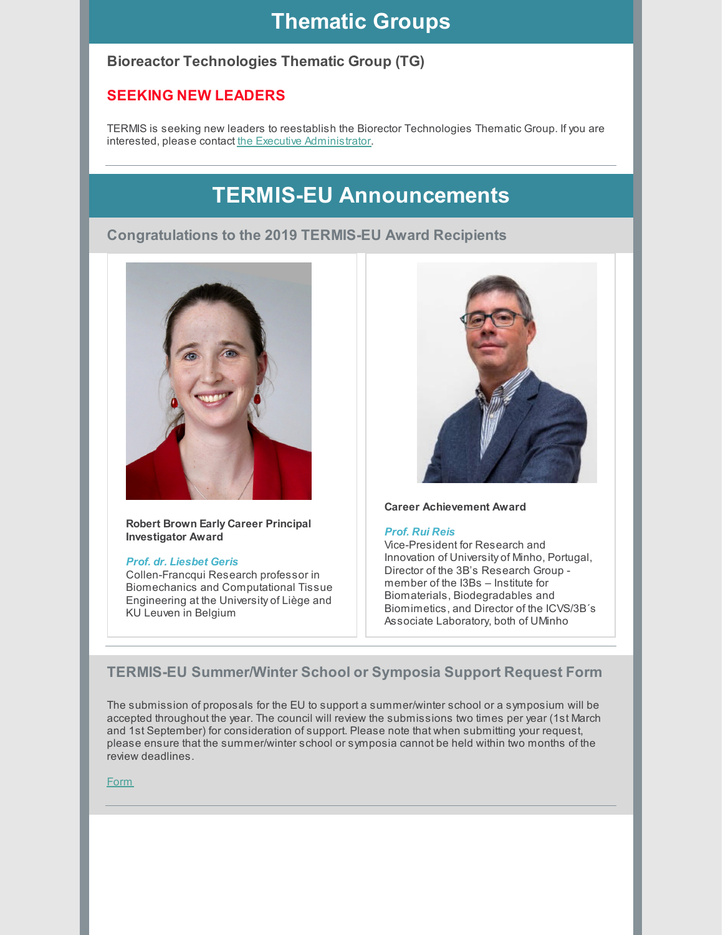### **Thematic Groups**

### **Bioreactor Technologies Thematic Group (TG)**

### **SEEKING NEW LEADERS**

TERMIS is seeking new leaders to reestablish the Biorector Technologies Thematic Group. If you are interested, please contact the Executive [Administrator](mailto:swilburn@termis.org).

## **TERMIS-EU Announcements**

#### **Congratulations to the 2019 TERMIS-EU Award Recipients**



#### **Robert Brown Early Career Principal Investigator Award**

#### *Prof. dr. Liesbet Geris*

Collen-Francqui Research professor in Biomechanics and Computational Tissue Engineering at the University of Liège and KU Leuven in Belgium



#### **Career Achievement Award**

#### *Prof. Rui Reis*

Vice-President for Research and Innovation of University of Minho, Portugal, Director of the 3B's Research Group member of the I3Bs – Institute for Biomaterials, Biodegradables and Biomimetics, and Director of the ICVS/3B´s Associate Laboratory, both of UMinho

### **TERMIS-EU Summer/Winter School or Symposia Support Request Form**

The submission of proposals for the EU to support a summer/winter school or a symposium will be accepted throughout the year. The council will review the submissions two times per year (1st March and 1st September) for consideration of support. Please note that when submitting your request, please ensure that the summer/winter school or symposia cannot be held within two months of the review deadlines.

#### [Form](https://www.termis.org/termis-eu-summerwinter-school-or-symposia-support-request-form)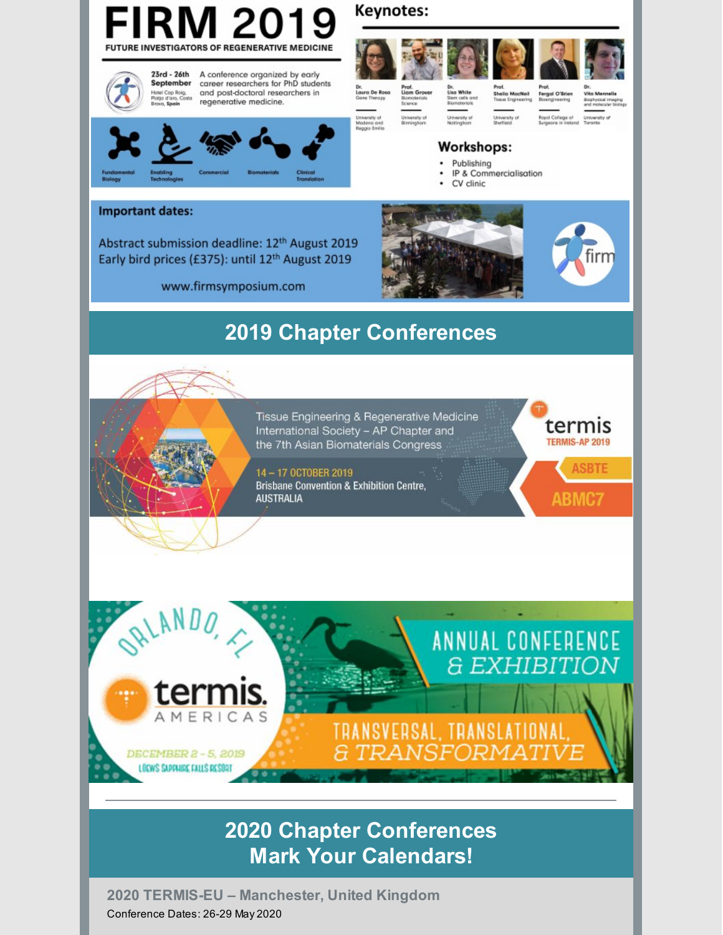

## **2020 Chapter Conferences Mark Your Calendars!**

**2020 TERMIS-EU – Manchester, United Kingdom** Conference Dates: 26-29 May 2020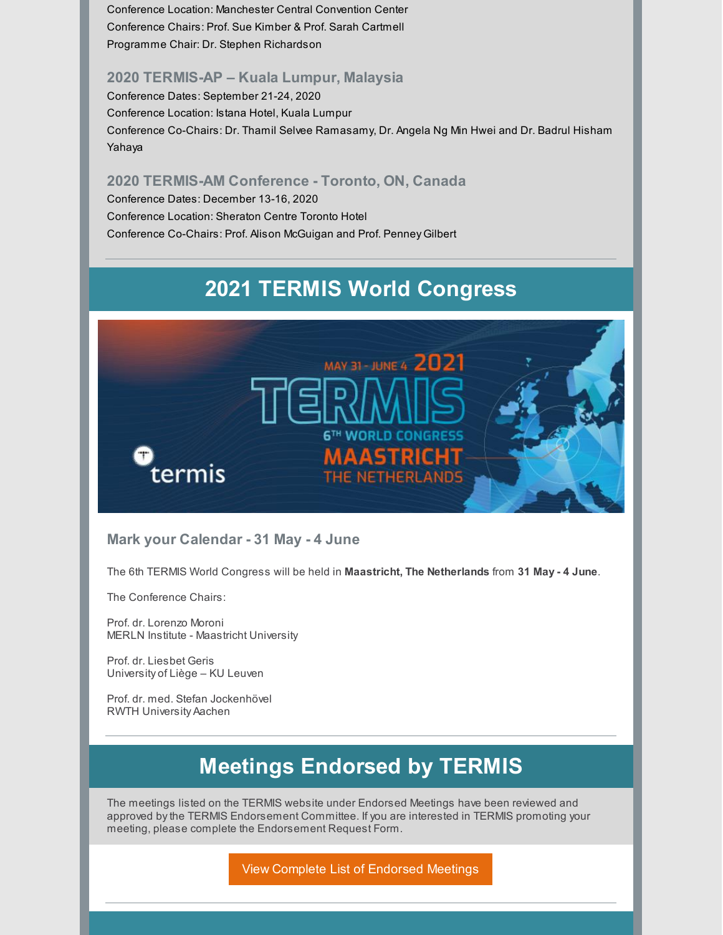Conference Location: Manchester Central Convention Center Conference Chairs: Prof. Sue Kimber & Prof. Sarah Cartmell Programme Chair: Dr. Stephen Richardson

#### **2020 TERMIS-AP – Kuala Lumpur, Malaysia**

Conference Dates: September 21-24, 2020 Conference Location: Istana Hotel, Kuala Lumpur Conference Co-Chairs: Dr. Thamil Selvee Ramasamy, Dr. Angela Ng Min Hwei and Dr. Badrul Hisham Yahaya

#### **2020 TERMIS-AM Conference - Toronto, ON, Canada**

Conference Dates: December 13-16, 2020 Conference Location: Sheraton Centre Toronto Hotel Conference Co-Chairs: Prof. Alison McGuigan and Prof. Penney Gilbert

## **2021 TERMIS World Congress**



#### **Mark your Calendar - 31 May - 4 June**

The 6th TERMIS World Congress will be held in **Maastricht, The Netherlands** from **31 May - 4 June**.

The Conference Chairs:

Prof. dr. Lorenzo Moroni MERLN Institute - Maastricht University

Prof. dr. Liesbet Geris University of Liège – KU Leuven

Prof. dr. med. Stefan Jockenhövel RWTH University Aachen

### **Meetings Endorsed by TERMIS**

The meetings listed on the TERMIS website under Endorsed Meetings have been reviewed and approved bythe TERMIS Endorsement Committee. If you are interested in TERMIS promoting your meeting, please complete the Endorsement Request Form.

View Complete List of [Endorsed](https://www.termis.org/endorsed-meetings/all) Meetings